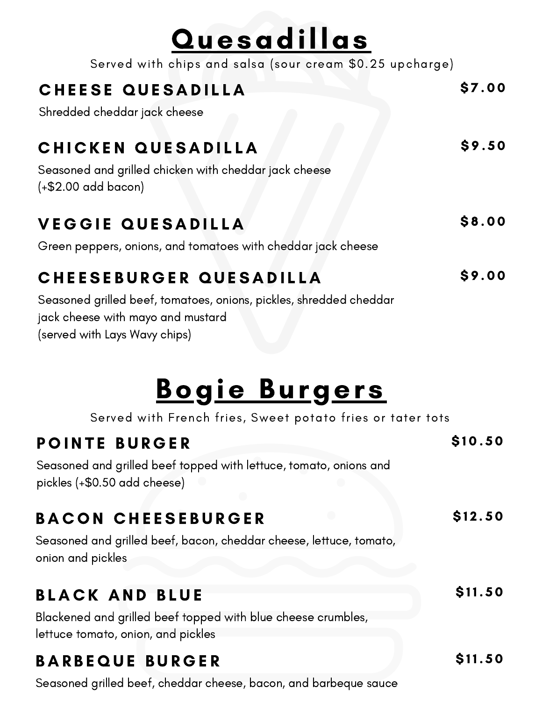| <b>Quesadillas</b>                                                                                      |        |
|---------------------------------------------------------------------------------------------------------|--------|
| Served with chips and salsa (sour cream \$0.25 upcharge)                                                |        |
| <b>CHEESE QUESADILLA</b>                                                                                | \$7.00 |
| Shredded cheddar jack cheese                                                                            |        |
| CHICKEN QUESADILLA                                                                                      | \$9.50 |
| Seasoned and grilled chicken with cheddar jack cheese<br>$(+$2.00$ add bacon)                           |        |
| <b>VEGGIE QUESADILLA</b>                                                                                | \$8.00 |
| Green peppers, onions, and tomatoes with cheddar jack cheese                                            |        |
| CHEESEBURGER QUESADILLA                                                                                 | \$9.00 |
| Seasoned grilled beef, tomatoes, onions, pickles, shredded cheddar<br>jack cheese with mayo and mustard |        |

(served with Lays Wavy chips)

### Bogie Burgers

Served with French fries, Sweet potato fries or tater tots

\$ 1 0 . 5 0

 $$12.50$ 

 $$11.50$ 

 $$11.50$ 

### POINTE BURGER

Seasoned and grilled beef topped with lettuce, tomato, onions and pickles (+\$0.50 add cheese)

### BACON CHEESEBURGER

Seasoned and grilled beef, bacon, cheddar cheese, lettuce, tomato, onion and pickles

### **BLACK AND BLUE**

Blackened and grilled beef topped with blue cheese crumbles, lettuce tomato, onion, and pickles

### B A R B E Q U E B U R G E R

Seasoned grilled beef, cheddar cheese, bacon, and barbeque sauce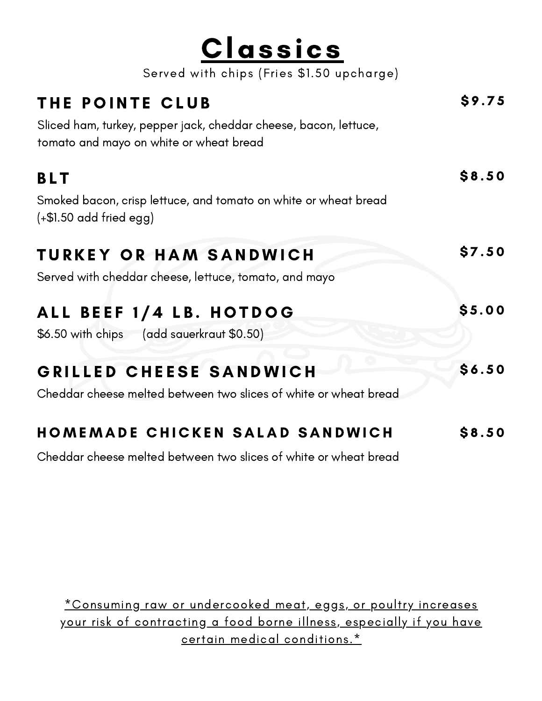| <u>Classics</u>                                                                                             |              |
|-------------------------------------------------------------------------------------------------------------|--------------|
| Served with chips (Fries \$1.50 upcharge)                                                                   |              |
| THE POINTE CLUB                                                                                             | \$9.75       |
| Sliced ham, turkey, pepper jack, cheddar cheese, bacon, lettuce,<br>tomato and mayo on white or wheat bread |              |
| <b>BLT</b>                                                                                                  | \$8.50       |
| Smoked bacon, crisp lettuce, and tomato on white or wheat bread<br>$(+\$1.50$ add fried egg)                |              |
| <b>TURKEY OR HAM SANDWICH</b>                                                                               | \$7.50       |
| Served with cheddar cheese, lettuce, tomato, and mayo                                                       |              |
| ALL BEEF 1/4 LB. HOTDOG                                                                                     | \$5.00       |
| \$6.50 with chips (add sauerkraut \$0.50)                                                                   |              |
| GRILLED CHEESE SANDWICH                                                                                     | \$6.50       |
| Cheddar cheese melted between two slices of white or wheat bread                                            |              |
| <b>HOMEMADE CHICKEN SALAD SANDWICH</b>                                                                      | <b>S8.50</b> |

Cheddar cheese melted between two slices of white or wheat bread

\*Consuming raw or undercooked meat, eggs, or poultry increases your risk of contracting a food borne illness, especially if you have certain medical conditions.\*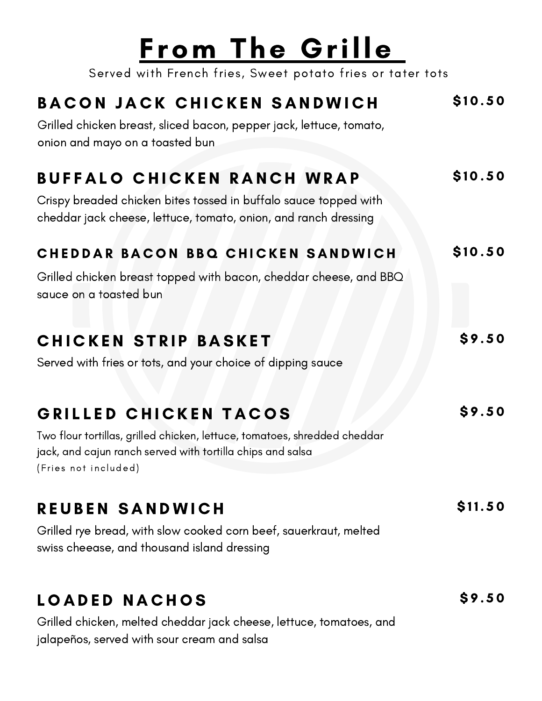# From The Grille

Served with French fries, Sweet potato fries or tater tots

| <b>BACON JACK CHICKEN SANDWICH</b><br>Grilled chicken breast, sliced bacon, pepper jack, lettuce, tomato,<br>onion and mayo on a toasted bun                                             | \$10.50 |
|------------------------------------------------------------------------------------------------------------------------------------------------------------------------------------------|---------|
| <b>BUFFALO CHICKEN RANCH WRAP</b><br>Crispy breaded chicken bites tossed in buffalo sauce topped with<br>cheddar jack cheese, lettuce, tomato, onion, and ranch dressing                 | \$10.50 |
| CHEDDAR BACON BBQ CHICKEN SANDWICH<br>Grilled chicken breast topped with bacon, cheddar cheese, and BBQ<br>sauce on a toasted bun                                                        | \$10.50 |
| <b>CHICKEN STRIP BASKET</b><br>Served with fries or tots, and your choice of dipping sauce                                                                                               | \$9.50  |
| GRILLED CHICKEN TACOS<br>Two flour tortillas, grilled chicken, lettuce, tomatoes, shredded cheddar<br>jack, and cajun ranch served with tortilla chips and salsa<br>(Fries not included) | \$9.50  |
| REUBEN SANDWICH<br>Grilled rye bread, with slow cooked corn beef, sauerkraut, melted<br>swiss cheease, and thousand island dressing                                                      | \$11.50 |
| LOADED NACHOS                                                                                                                                                                            | \$9.50  |

Grilled chicken, melted cheddar jack cheese, lettuce, tomatoes, and jalapeños, served with sour cream and salsa